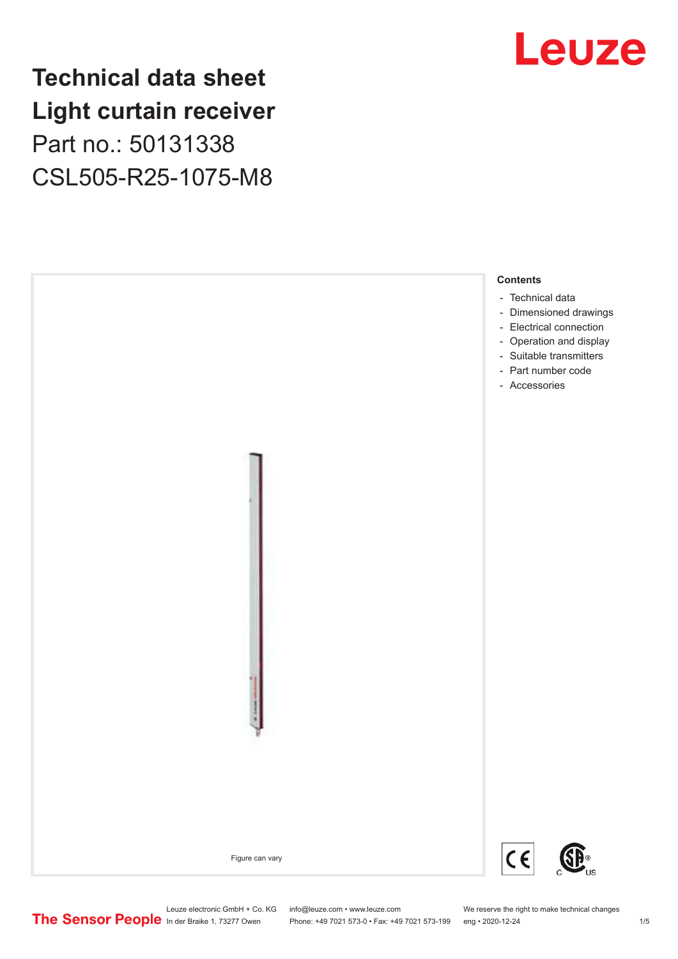### **Technical data sheet Light curtain receiver** Part no.: 50131338 CSL505-R25-1075-M8



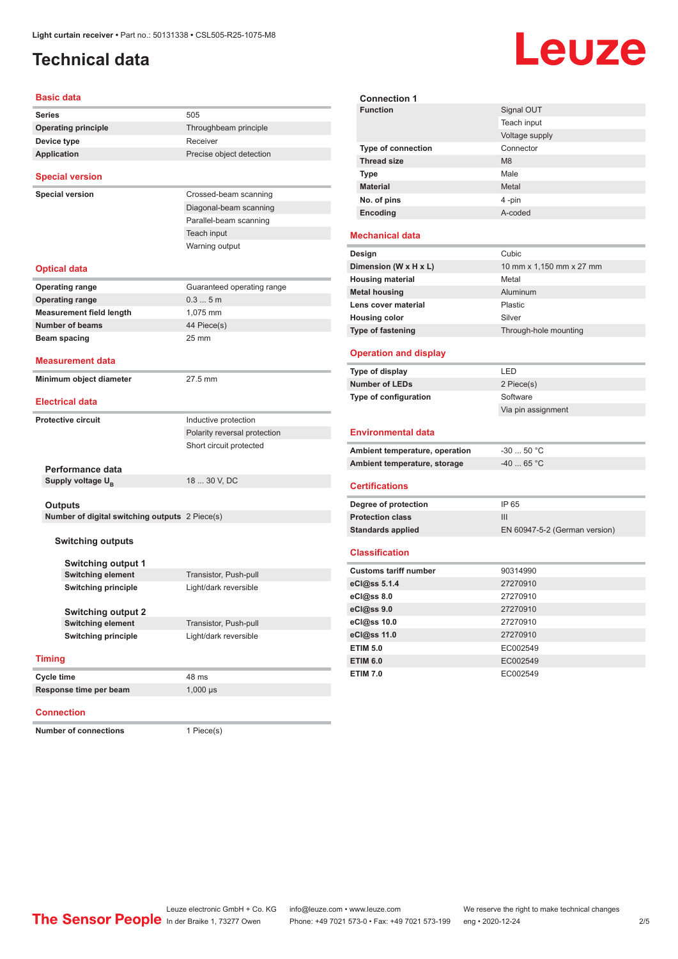### <span id="page-1-0"></span>**Technical data**

# **Leuze**

| <b>Basic data</b>                                         |                              |
|-----------------------------------------------------------|------------------------------|
| Series                                                    | 505                          |
| <b>Operating principle</b>                                | Throughbeam principle        |
| Device type                                               | Receiver                     |
| <b>Application</b>                                        | Precise object detection     |
| <b>Special version</b>                                    |                              |
| <b>Special version</b>                                    | Crossed-beam scanning        |
|                                                           | Diagonal-beam scanning       |
|                                                           | Parallel-beam scanning       |
|                                                           | Teach input                  |
|                                                           | Warning output               |
| <b>Optical data</b>                                       |                              |
| <b>Operating range</b>                                    | Guaranteed operating range   |
| <b>Operating range</b>                                    | 0.35m                        |
| <b>Measurement field length</b>                           | 1,075 mm                     |
| <b>Number of beams</b>                                    | 44 Piece(s)                  |
| Beam spacing                                              | 25 mm                        |
| <b>Measurement data</b>                                   |                              |
| Minimum object diameter                                   | 27.5 mm                      |
| <b>Electrical data</b>                                    |                              |
| <b>Protective circuit</b>                                 | Inductive protection         |
|                                                           | Polarity reversal protection |
|                                                           | Short circuit protected      |
|                                                           |                              |
| Performance data                                          |                              |
| Supply voltage U <sub>R</sub>                             | 18  30 V, DC                 |
|                                                           |                              |
| Outputs<br>Number of digital switching outputs 2 Piece(s) |                              |
|                                                           |                              |
| <b>Switching outputs</b>                                  |                              |
|                                                           |                              |
| <b>Switching output 1</b>                                 |                              |
| <b>Switching element</b>                                  | Transistor, Push-pull        |
| <b>Switching principle</b>                                | Light/dark reversible        |
| <b>Switching output 2</b>                                 |                              |
| <b>Switching element</b>                                  | Transistor, Push-pull        |
| <b>Switching principle</b>                                | Light/dark reversible        |
| <b>Timing</b>                                             |                              |
|                                                           |                              |
| Cycle time                                                | 48 ms                        |
| Response time per beam                                    | $1,000 \,\mu s$              |

#### **Connection**

**Number of connections** 1 Piece(s)

| <b>Function</b>                | Signal OUT                    |
|--------------------------------|-------------------------------|
|                                | Teach input                   |
|                                | Voltage supply                |
| Type of connection             | Connector                     |
| <b>Thread size</b>             | M <sub>8</sub>                |
| <b>Type</b>                    | Male                          |
| <b>Material</b>                | Metal                         |
| No. of pins                    | 4-pin                         |
| Encoding                       | A-coded                       |
| <b>Mechanical data</b>         |                               |
| Design                         | Cubic                         |
| Dimension (W x H x L)          | 10 mm x 1,150 mm x 27 mm      |
| <b>Housing material</b>        | Metal                         |
| <b>Metal housing</b>           | Aluminum                      |
| Lens cover material            | Plastic                       |
| <b>Housing color</b>           | Silver                        |
| Type of fastening              | Through-hole mounting         |
| <b>Operation and display</b>   |                               |
| Type of display                | LED                           |
| <b>Number of LEDs</b>          | 2 Piece(s)                    |
| Type of configuration          | Software                      |
|                                | Via pin assignment            |
| <b>Environmental data</b>      |                               |
| Ambient temperature, operation | $-30$ 50 °C                   |
| Ambient temperature, storage   | $-4065 °C$                    |
| <b>Certifications</b>          |                               |
| Degree of protection           | IP 65                         |
| <b>Protection class</b>        | Ш                             |
| <b>Standards applied</b>       | EN 60947-5-2 (German version) |
| <b>Classification</b>          |                               |
| <b>Customs tariff number</b>   | 90314990                      |
| eCl@ss 5.1.4                   | 27270910                      |
| eCl@ss 8.0                     | 27270910                      |
| eCl@ss 9.0                     | 27270910                      |
| eCl@ss 10.0                    | 27270910                      |
| eCl@ss 11.0                    | 27270910                      |
| <b>ETIM 5.0</b>                | EC002549                      |
| <b>ETIM 6.0</b>                | EC002549                      |
| <b>ETIM 7.0</b>                | EC002549                      |
|                                |                               |
|                                |                               |

**Connection 1**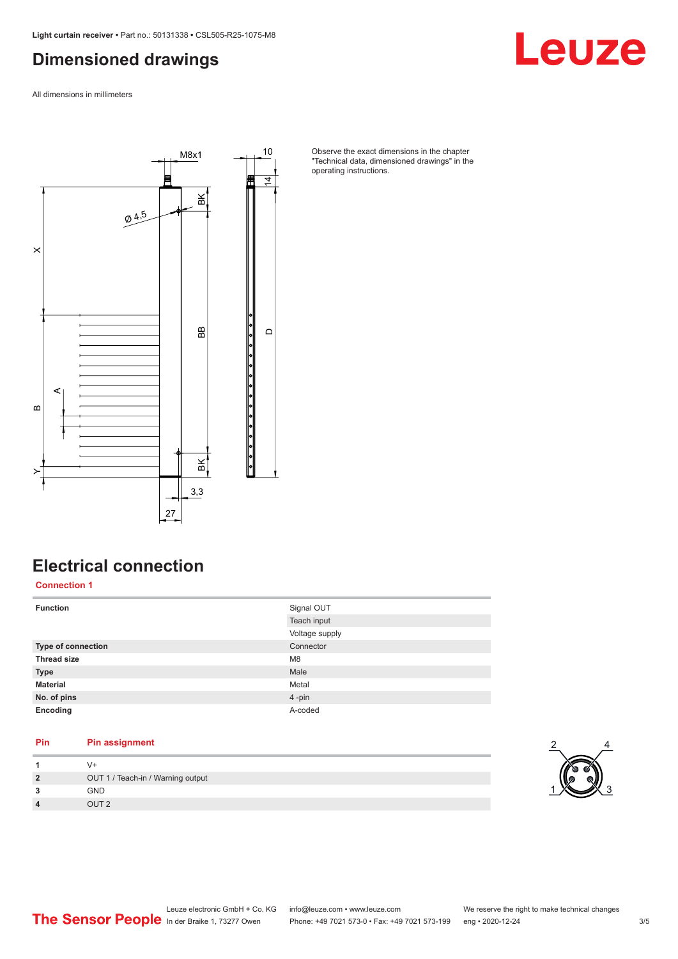### <span id="page-2-0"></span>**Dimensioned drawings**

All dimensions in millimeters



Observe the exact dimensions in the chapter "Technical data, dimensioned drawings" in the operating instructions.

### **Electrical connection**

**Connection 1**

| <b>Function</b>    | Signal OUT     |
|--------------------|----------------|
|                    | Teach input    |
|                    | Voltage supply |
| Type of connection | Connector      |
| <b>Thread size</b> | M <sub>8</sub> |
| <b>Type</b>        | Male           |
| <b>Material</b>    | Metal          |
| No. of pins        | 4-pin          |
| Encoding           | A-coded        |

### **Pin Pin assignment**

|                | $V+$                              |  |
|----------------|-----------------------------------|--|
| $\overline{2}$ | OUT 1 / Teach-in / Warning output |  |
| 3              | <b>GND</b>                        |  |
| $\overline{4}$ | $Q$ $I$ $I$ $I$ $I$ $2$           |  |



Leuze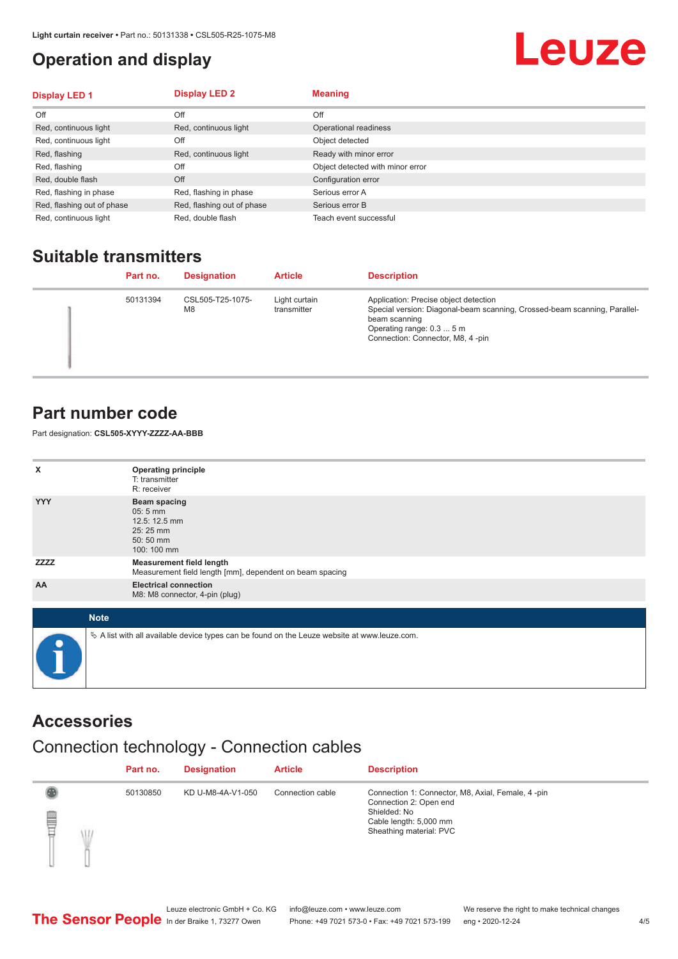### <span id="page-3-0"></span>**Operation and display**

## Leuze

| <b>Display LED 1</b>       | <b>Display LED 2</b>       | <b>Meaning</b>                   |
|----------------------------|----------------------------|----------------------------------|
| Off                        | Off                        | Off                              |
| Red, continuous light      | Red, continuous light      | Operational readiness            |
| Red, continuous light      | Off                        | Object detected                  |
| Red, flashing              | Red, continuous light      | Ready with minor error           |
| Red, flashing              | Off                        | Object detected with minor error |
| Red, double flash          | Off                        | Configuration error              |
| Red, flashing in phase     | Red, flashing in phase     | Serious error A                  |
| Red, flashing out of phase | Red, flashing out of phase | Serious error B                  |
| Red, continuous light      | Red, double flash          | Teach event successful           |

### **Suitable transmitters**

| Part no. | <b>Designation</b>                 | <b>Article</b>               | <b>Description</b>                                                                                                                                                                                   |
|----------|------------------------------------|------------------------------|------------------------------------------------------------------------------------------------------------------------------------------------------------------------------------------------------|
| 50131394 | CSL505-T25-1075-<br>M <sub>8</sub> | Light curtain<br>transmitter | Application: Precise object detection<br>Special version: Diagonal-beam scanning, Crossed-beam scanning, Parallel-<br>beam scanning<br>Operating range: 0.3  5 m<br>Connection: Connector, M8, 4-pin |

#### **Part number code**

Part designation: **CSL505-XYYY-ZZZZ-AA-BBB**

| x                                                                    | <b>Operating principle</b><br>T: transmitter<br>R: receiver                                     |
|----------------------------------------------------------------------|-------------------------------------------------------------------------------------------------|
| <b>YYY</b>                                                           | <b>Beam spacing</b><br>$05:5$ mm<br>12.5: 12.5 mm<br>25:25 mm<br>50:50 mm<br>100: 100 mm        |
| <b>ZZZZ</b>                                                          | <b>Measurement field length</b><br>Measurement field length [mm], dependent on beam spacing     |
| AA<br><b>Electrical connection</b><br>M8: M8 connector, 4-pin (plug) |                                                                                                 |
| <b>Note</b>                                                          |                                                                                                 |
| $\bullet$                                                            | $\&$ A list with all available device types can be found on the Leuze website at www.leuze.com. |

#### **Accessories**

### Connection technology - Connection cables

|        | Part no. | <b>Designation</b> | <b>Article</b>   | <b>Description</b>                                                                                                                               |
|--------|----------|--------------------|------------------|--------------------------------------------------------------------------------------------------------------------------------------------------|
| §<br>Ŵ | 50130850 | KD U-M8-4A-V1-050  | Connection cable | Connection 1: Connector, M8, Axial, Female, 4-pin<br>Connection 2: Open end<br>Shielded: No<br>Cable length: 5,000 mm<br>Sheathing material: PVC |